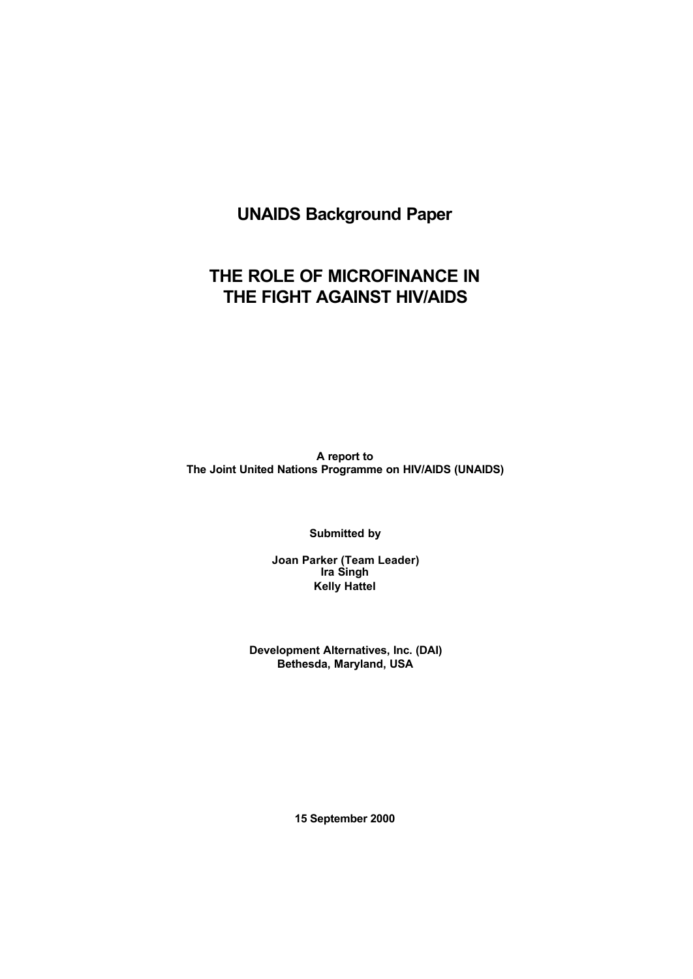# **UNAIDS Background Paper**

# **THE ROLE OF MICROFINANCE IN THE FIGHT AGAINST HIV/AIDS**

**A report to The Joint United Nations Programme on HIV/AIDS (UNAIDS)**

**Submitted by**

**Joan Parker (Team Leader) Ira Singh Kelly Hattel**

**Development Alternatives, Inc. (DAI) Bethesda, Maryland, USA**

**15 September 2000**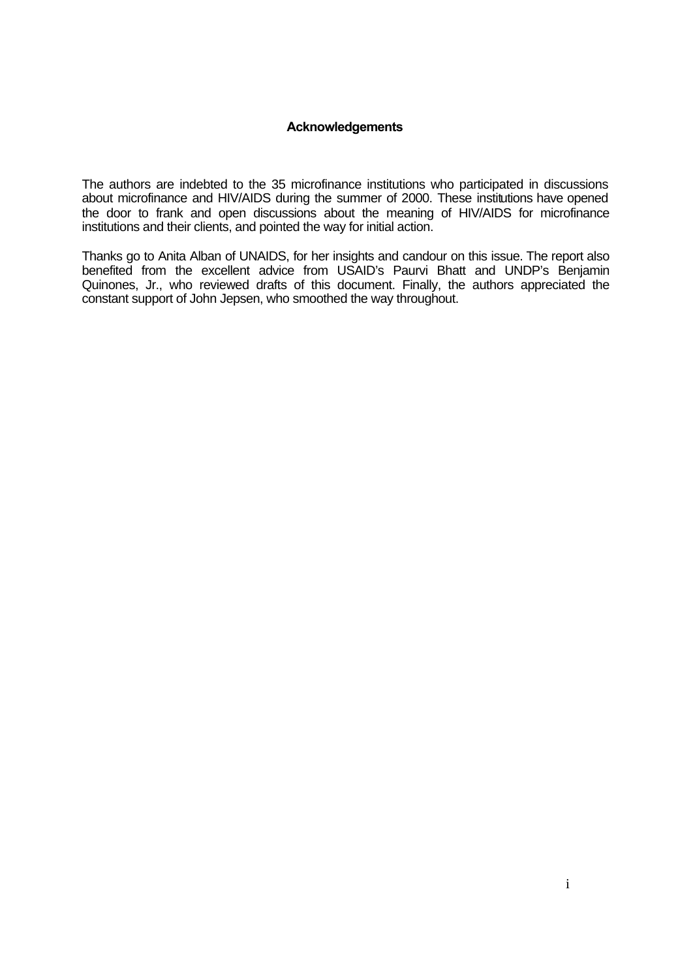## **Acknowledgements**

The authors are indebted to the 35 microfinance institutions who participated in discussions about microfinance and HIV/AIDS during the summer of 2000. These institutions have opened the door to frank and open discussions about the meaning of HIV/AIDS for microfinance institutions and their clients, and pointed the way for initial action.

Thanks go to Anita Alban of UNAIDS, for her insights and candour on this issue. The report also benefited from the excellent advice from USAID's Paurvi Bhatt and UNDP's Benjamin Quinones, Jr., who reviewed drafts of this document. Finally, the authors appreciated the constant support of John Jepsen, who smoothed the way throughout.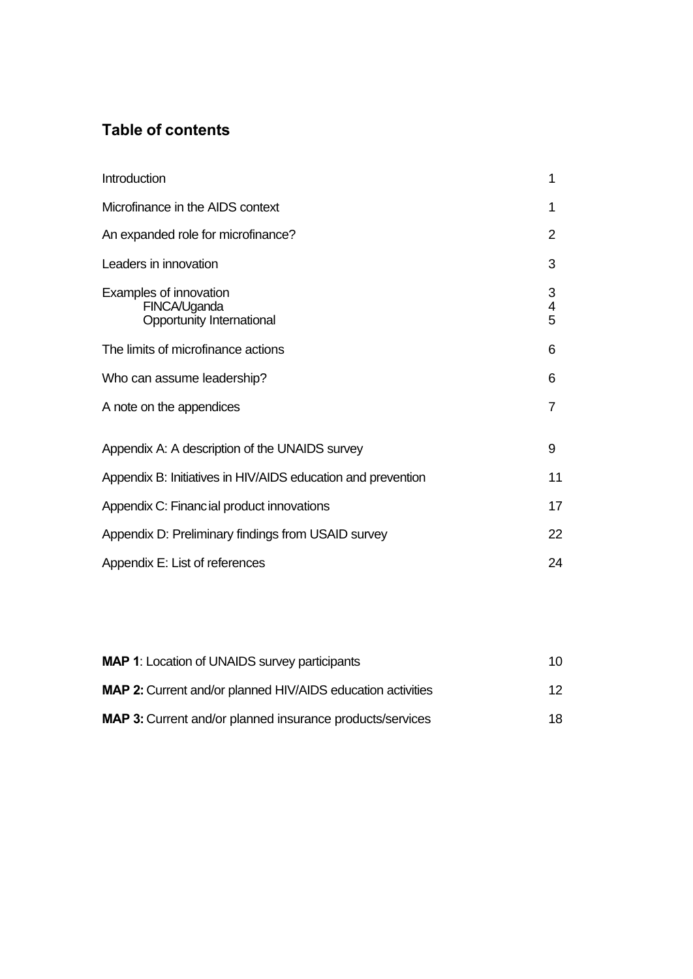# **Table of contents**

| Introduction                                                        | 1           |  |
|---------------------------------------------------------------------|-------------|--|
| Microfinance in the AIDS context                                    |             |  |
| An expanded role for microfinance?                                  |             |  |
| Leaders in innovation                                               |             |  |
| Examples of innovation<br>FINCA/Uganda<br>Opportunity International | 3<br>4<br>5 |  |
| The limits of microfinance actions                                  | 6           |  |
| Who can assume leadership?                                          |             |  |
| A note on the appendices                                            | 7           |  |
| Appendix A: A description of the UNAIDS survey                      |             |  |
| Appendix B: Initiatives in HIV/AIDS education and prevention        |             |  |
| Appendix C: Financial product innovations                           |             |  |
| Appendix D: Preliminary findings from USAID survey                  |             |  |
| Appendix E: List of references                                      |             |  |
|                                                                     |             |  |

| <b>MAP 1:</b> Location of UNAIDS survey participants               | 10 |
|--------------------------------------------------------------------|----|
| <b>MAP 2:</b> Current and/or planned HIV/AIDS education activities | 12 |
| <b>MAP 3:</b> Current and/or planned insurance products/services   | 18 |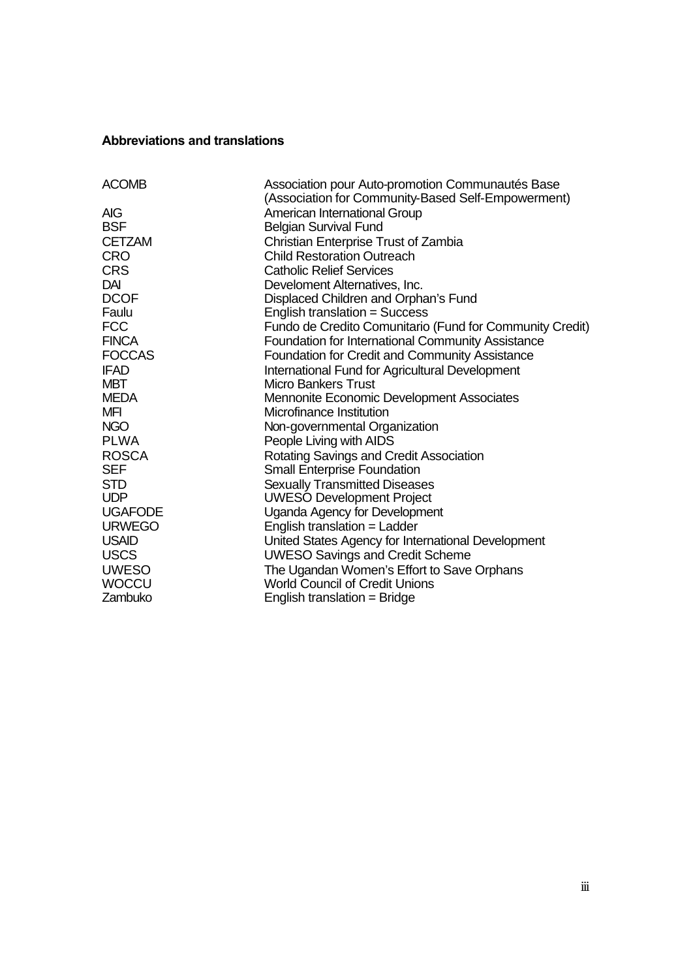## **Abbreviations and translations**

| <b>ACOMB</b>   | Association pour Auto-promotion Communautés Base         |
|----------------|----------------------------------------------------------|
|                | (Association for Community-Based Self-Empowerment)       |
| <b>AIG</b>     | American International Group                             |
| <b>BSF</b>     | <b>Belgian Survival Fund</b>                             |
| <b>CETZAM</b>  | Christian Enterprise Trust of Zambia                     |
| <b>CRO</b>     | <b>Child Restoration Outreach</b>                        |
| <b>CRS</b>     | <b>Catholic Relief Services</b>                          |
| DAI            | Develoment Alternatives, Inc.                            |
| <b>DCOF</b>    | Displaced Children and Orphan's Fund                     |
| Faulu          | English translation = Success                            |
| <b>FCC</b>     | Fundo de Credito Comunitario (Fund for Community Credit) |
| <b>FINCA</b>   | Foundation for International Community Assistance        |
| <b>FOCCAS</b>  | <b>Foundation for Credit and Community Assistance</b>    |
| <b>IFAD</b>    | International Fund for Agricultural Development          |
| <b>MBT</b>     | Micro Bankers Trust                                      |
| <b>MEDA</b>    | <b>Mennonite Economic Development Associates</b>         |
| <b>MFI</b>     | Microfinance Institution                                 |
| <b>NGO</b>     | Non-governmental Organization                            |
| <b>PLWA</b>    | People Living with AIDS                                  |
| <b>ROSCA</b>   | Rotating Savings and Credit Association                  |
| <b>SEF</b>     | <b>Small Enterprise Foundation</b>                       |
| <b>STD</b>     | <b>Sexually Transmitted Diseases</b>                     |
| <b>UDP</b>     | <b>UWESO Development Project</b>                         |
| <b>UGAFODE</b> | Uganda Agency for Development                            |
| <b>URWEGO</b>  | English translation = Ladder                             |
| <b>USAID</b>   | United States Agency for International Development       |
| <b>USCS</b>    | <b>UWESO Savings and Credit Scheme</b>                   |
| <b>UWESO</b>   | The Ugandan Women's Effort to Save Orphans               |
| <b>WOCCU</b>   | <b>World Council of Credit Unions</b>                    |
| Zambuko        | English translation = Bridge                             |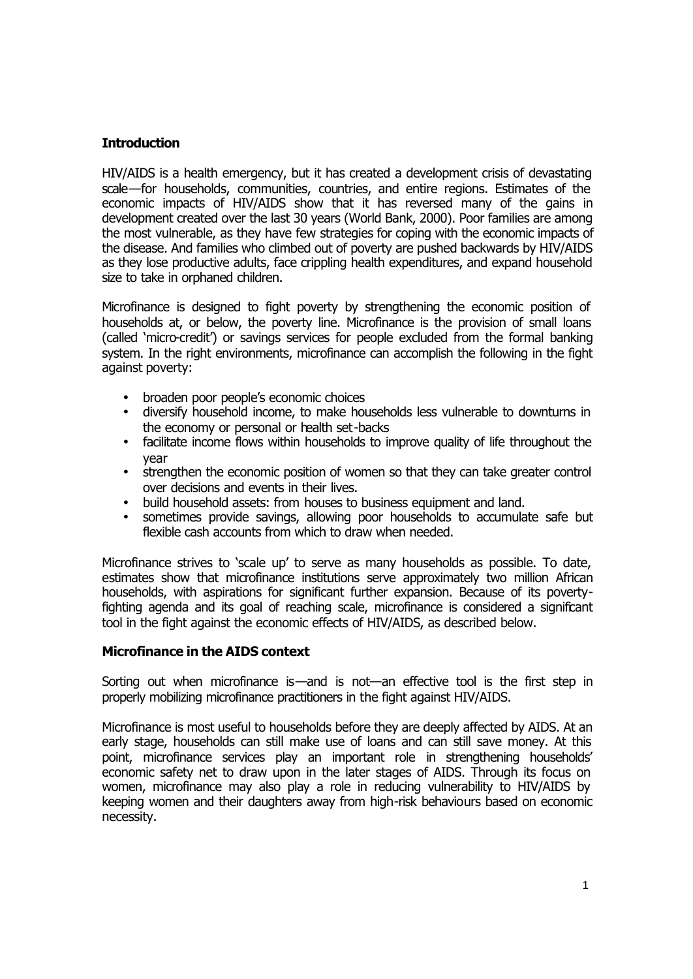# **Introduction**

HIV/AIDS is a health emergency, but it has created a development crisis of devastating scale—for households, communities, countries, and entire regions. Estimates of the economic impacts of HIV/AIDS show that it has reversed many of the gains in development created over the last 30 years (World Bank, 2000). Poor families are among the most vulnerable, as they have few strategies for coping with the economic impacts of the disease. And families who climbed out of poverty are pushed backwards by HIV/AIDS as they lose productive adults, face crippling health expenditures, and expand household size to take in orphaned children.

Microfinance is designed to fight poverty by strengthening the economic position of households at, or below, the poverty line. Microfinance is the provision of small loans (called 'micro-credit') or savings services for people excluded from the formal banking system. In the right environments, microfinance can accomplish the following in the fight against poverty:

- broaden poor people's economic choices
- diversify household income, to make households less vulnerable to downturns in the economy or personal or health set-backs
- facilitate income flows within households to improve quality of life throughout the year
- strengthen the economic position of women so that they can take greater control over decisions and events in their lives.
- build household assets: from houses to business equipment and land.<br>• sometimes provide savings, allowing noor households to accumula
- sometimes provide savings, allowing poor households to accumulate safe but flexible cash accounts from which to draw when needed.

Microfinance strives to 'scale up' to serve as many households as possible. To date, estimates show that microfinance institutions serve approximately two million African households, with aspirations for significant further expansion. Because of its povertyfighting agenda and its goal of reaching scale, microfinance is considered a significant tool in the fight against the economic effects of HIV/AIDS, as described below.

# **Microfinance in the AIDS context**

Sorting out when microfinance is—and is not—an effective tool is the first step in properly mobilizing microfinance practitioners in the fight against HIV/AIDS.

Microfinance is most useful to households before they are deeply affected by AIDS. At an early stage, households can still make use of loans and can still save money. At this point, microfinance services play an important role in strengthening households' economic safety net to draw upon in the later stages of AIDS. Through its focus on women, microfinance may also play a role in reducing vulnerability to HIV/AIDS by keeping women and their daughters away from high-risk behaviours based on economic necessity.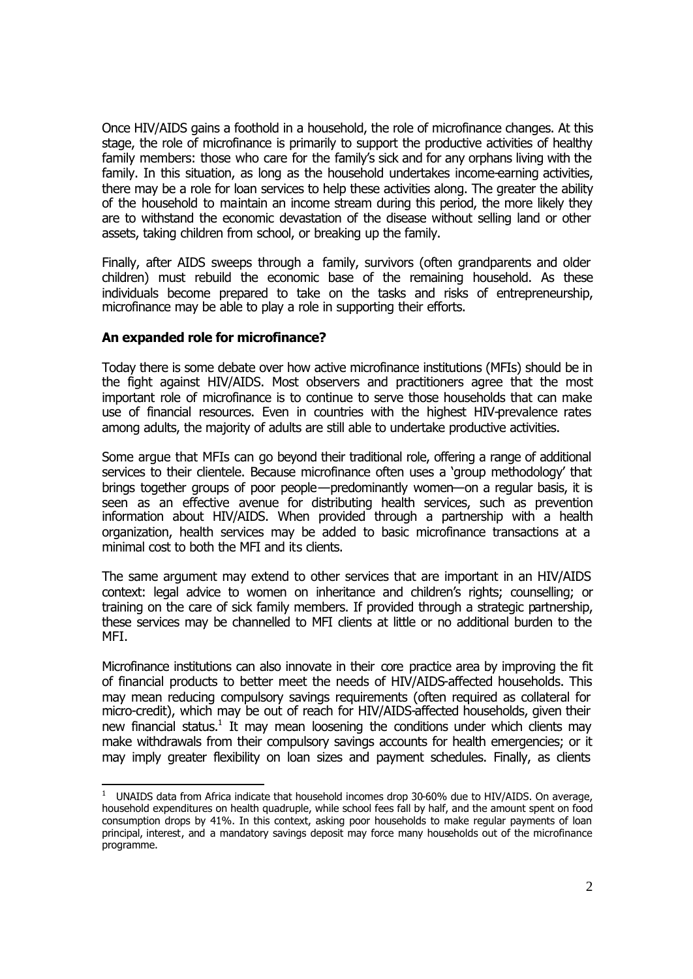Once HIV/AIDS gains a foothold in a household, the role of microfinance changes. At this stage, the role of microfinance is primarily to support the productive activities of healthy family members: those who care for the family's sick and for any orphans living with the family. In this situation, as long as the household undertakes income-earning activities, there may be a role for loan services to help these activities along. The greater the ability of the household to maintain an income stream during this period, the more likely they are to withstand the economic devastation of the disease without selling land or other assets, taking children from school, or breaking up the family.

Finally, after AIDS sweeps through a family, survivors (often grandparents and older children) must rebuild the economic base of the remaining household. As these individuals become prepared to take on the tasks and risks of entrepreneurship, microfinance may be able to play a role in supporting their efforts.

# **An expanded role for microfinance?**

Today there is some debate over how active microfinance institutions (MFIs) should be in the fight against HIV/AIDS. Most observers and practitioners agree that the most important role of microfinance is to continue to serve those households that can make use of financial resources. Even in countries with the highest HIV-prevalence rates among adults, the majority of adults are still able to undertake productive activities.

Some argue that MFIs can go beyond their traditional role, offering a range of additional services to their clientele. Because microfinance often uses a 'group methodology' that brings together groups of poor people—predominantly women—on a regular basis, it is seen as an effective avenue for distributing health services, such as prevention information about HIV/AIDS. When provided through a partnership with a health organization, health services may be added to basic microfinance transactions at a minimal cost to both the MFI and its clients.

The same argument may extend to other services that are important in an HIV/AIDS context: legal advice to women on inheritance and children's rights; counselling; or training on the care of sick family members. If provided through a strategic partnership, these services may be channelled to MFI clients at little or no additional burden to the MFI.

Microfinance institutions can also innovate in their core practice area by improving the fit of financial products to better meet the needs of HIV/AIDS-affected households. This may mean reducing compulsory savings requirements (often required as collateral for micro-credit), which may be out of reach for HIV/AIDS-affected households, given their new financial status.<sup>1</sup> It may mean loosening the conditions under which clients may make withdrawals from their compulsory savings accounts for health emergencies; or it may imply greater flexibility on loan sizes and payment schedules. Finally, as clients

 1 UNAIDS data from Africa indicate that household incomes drop 30-60% due to HIV/AIDS. On average, household expenditures on health quadruple, while school fees fall by half, and the amount spent on food consumption drops by 41%. In this context, asking poor households to make regular payments of loan principal, interest, and a mandatory savings deposit may force many households out of the microfinance programme.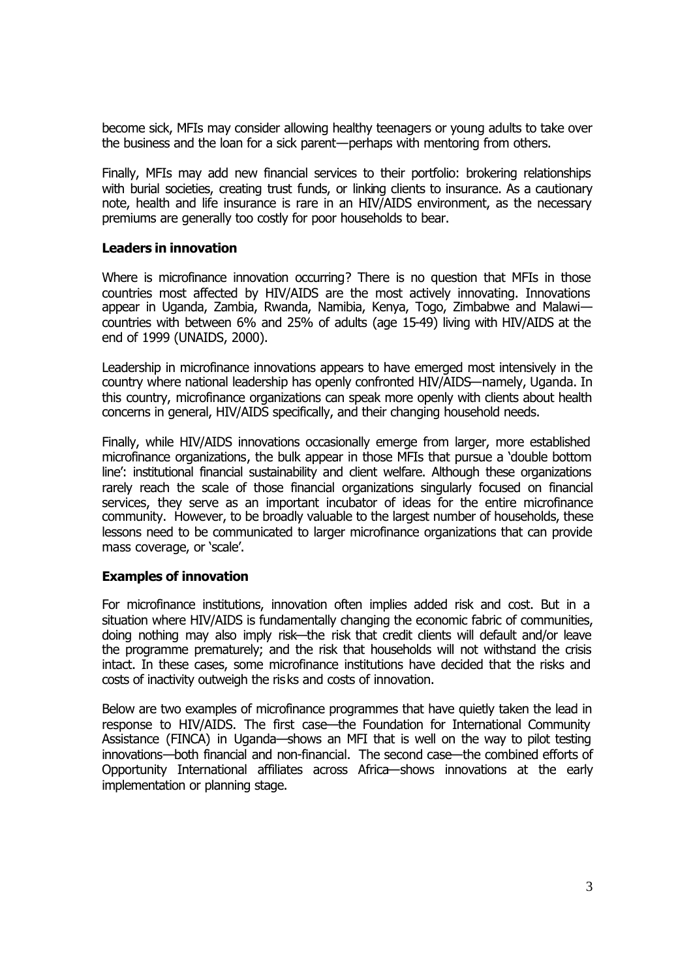become sick, MFIs may consider allowing healthy teenagers or young adults to take over the business and the loan for a sick parent—perhaps with mentoring from others.

Finally, MFIs may add new financial services to their portfolio: brokering relationships with burial societies, creating trust funds, or linking clients to insurance. As a cautionary note, health and life insurance is rare in an HIV/AIDS environment, as the necessary premiums are generally too costly for poor households to bear.

# **Leaders in innovation**

Where is microfinance innovation occurring? There is no question that MFIs in those countries most affected by HIV/AIDS are the most actively innovating. Innovations appear in Uganda, Zambia, Rwanda, Namibia, Kenya, Togo, Zimbabwe and Malawi countries with between 6% and 25% of adults (age 15-49) living with HIV/AIDS at the end of 1999 (UNAIDS, 2000).

Leadership in microfinance innovations appears to have emerged most intensively in the country where national leadership has openly confronted HIV/AIDS—namely, Uganda. In this country, microfinance organizations can speak more openly with clients about health concerns in general, HIV/AIDS specifically, and their changing household needs.

Finally, while HIV/AIDS innovations occasionally emerge from larger, more established microfinance organizations, the bulk appear in those MFIs that pursue a 'double bottom line': institutional financial sustainability and client welfare. Although these organizations rarely reach the scale of those financial organizations singularly focused on financial services, they serve as an important incubator of ideas for the entire microfinance community. However, to be broadly valuable to the largest number of households, these lessons need to be communicated to larger microfinance organizations that can provide mass coverage, or 'scale'.

# **Examples of innovation**

For microfinance institutions, innovation often implies added risk and cost. But in a situation where HIV/AIDS is fundamentally changing the economic fabric of communities, doing nothing may also imply risk—the risk that credit clients will default and/or leave the programme prematurely; and the risk that households will not withstand the crisis intact. In these cases, some microfinance institutions have decided that the risks and costs of inactivity outweigh the risks and costs of innovation.

Below are two examples of microfinance programmes that have quietly taken the lead in response to HIV/AIDS. The first case—the Foundation for International Community Assistance (FINCA) in Uganda—shows an MFI that is well on the way to pilot testing innovations—both financial and non-financial. The second case—the combined efforts of Opportunity International affiliates across Africa—shows innovations at the early implementation or planning stage.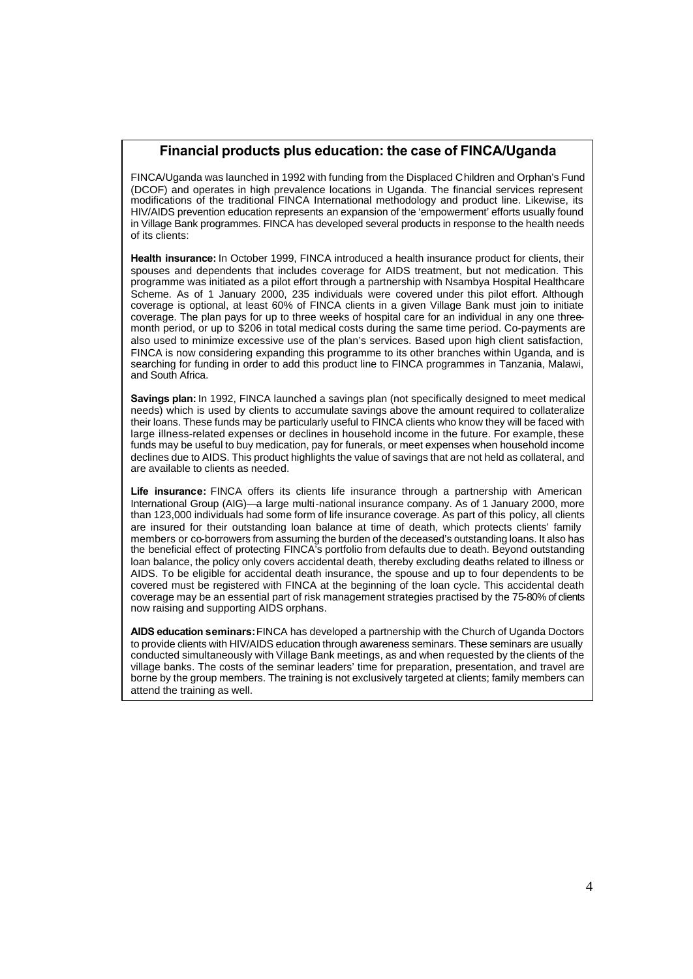# **Financial products plus education: the case of FINCA/Uganda**

FINCA/Uganda was launched in 1992 with funding from the Displaced Children and Orphan's Fund (DCOF) and operates in high prevalence locations in Uganda. The financial services represent modifications of the traditional FINCA International methodology and product line. Likewise, its HIV/AIDS prevention education represents an expansion of the 'empowerment' efforts usually found in Village Bank programmes. FINCA has developed several products in response to the health needs of its clients:

**Health insurance:** In October 1999, FINCA introduced a health insurance product for clients, their spouses and dependents that includes coverage for AIDS treatment, but not medication. This programme was initiated as a pilot effort through a partnership with Nsambya Hospital Healthcare Scheme. As of 1 January 2000, 235 individuals were covered under this pilot effort. Although coverage is optional, at least 60% of FINCA clients in a given Village Bank must join to initiate coverage. The plan pays for up to three weeks of hospital care for an individual in any one threemonth period, or up to \$206 in total medical costs during the same time period. Co-payments are also used to minimize excessive use of the plan's services. Based upon high client satisfaction, FINCA is now considering expanding this programme to its other branches within Uganda, and is searching for funding in order to add this product line to FINCA programmes in Tanzania, Malawi, and South Africa.

**Savings plan:** In 1992, FINCA launched a savings plan (not specifically designed to meet medical needs) which is used by clients to accumulate savings above the amount required to collateralize their loans. These funds may be particularly useful to FINCA clients who know they will be faced with large illness-related expenses or declines in household income in the future. For example, these funds may be useful to buy medication, pay for funerals, or meet expenses when household income declines due to AIDS. This product highlights the value of savings that are not held as collateral, and are available to clients as needed.

**Life insurance:** FINCA offers its clients life insurance through a partnership with American International Group (AIG)—a large multi-national insurance company. As of 1 January 2000, more than 123,000 individuals had some form of life insurance coverage. As part of this policy, all clients are insured for their outstanding loan balance at time of death, which protects clients' family members or co-borrowers from assuming the burden of the deceased's outstanding loans. It also has the beneficial effect of protecting FINCA's portfolio from defaults due to death. Beyond outstanding loan balance, the policy only covers accidental death, thereby excluding deaths related to illness or AIDS. To be eligible for accidental death insurance, the spouse and up to four dependents to be covered must be registered with FINCA at the beginning of the loan cycle. This accidental death coverage may be an essential part of risk management strategies practised by the 75-80% of clients now raising and supporting AIDS orphans.

**AIDS education seminars:** FINCA has developed a partnership with the Church of Uganda Doctors to provide clients with HIV/AIDS education through awareness seminars. These seminars are usually conducted simultaneously with Village Bank meetings, as and when requested by the clients of the village banks. The costs of the seminar leaders' time for preparation, presentation, and travel are borne by the group members. The training is not exclusively targeted at clients; family members can attend the training as well.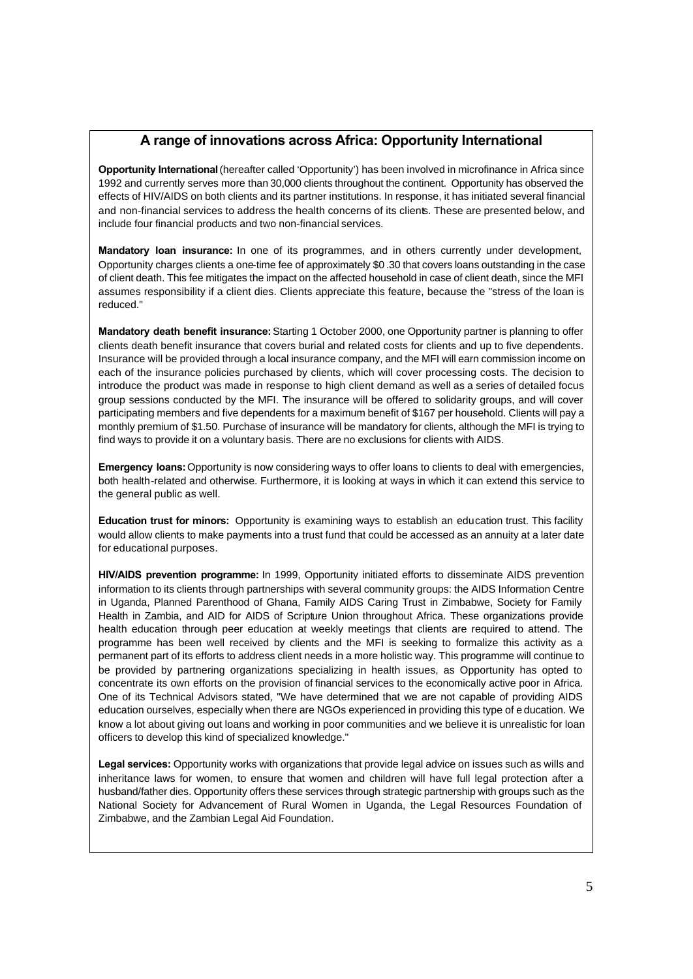# **A range of innovations across Africa: Opportunity International**

**Opportunity International** (hereafter called 'Opportunity') has been involved in microfinance in Africa since 1992 and currently serves more than 30,000 clients throughout the continent. Opportunity has observed the effects of HIV/AIDS on both clients and its partner institutions. In response, it has initiated several financial and non-financial services to address the health concerns of its clients. These are presented below, and include four financial products and two non-financial services.

**Mandatory loan insurance:** In one of its programmes, and in others currently under development, Opportunity charges clients a one-time fee of approximately \$0 .30 that covers loans outstanding in the case of client death. This fee mitigates the impact on the affected household in case of client death, since the MFI assumes responsibility if a client dies. Clients appreciate this feature, because the "stress of the loan is reduced."

**Mandatory death benefit insurance:** Starting 1 October 2000, one Opportunity partner is planning to offer clients death benefit insurance that covers burial and related costs for clients and up to five dependents. Insurance will be provided through a local insurance company, and the MFI will earn commission income on each of the insurance policies purchased by clients, which will cover processing costs. The decision to introduce the product was made in response to high client demand as well as a series of detailed focus group sessions conducted by the MFI. The insurance will be offered to solidarity groups, and will cover participating members and five dependents for a maximum benefit of \$167 per household. Clients will pay a monthly premium of \$1.50. Purchase of insurance will be mandatory for clients, although the MFI is trying to find ways to provide it on a voluntary basis. There are no exclusions for clients with AIDS.

**Emergency loans:** Opportunity is now considering ways to offer loans to clients to deal with emergencies, both health-related and otherwise. Furthermore, it is looking at ways in which it can extend this service to the general public as well.

**Education trust for minors:** Opportunity is examining ways to establish an education trust. This facility would allow clients to make payments into a trust fund that could be accessed as an annuity at a later date for educational purposes.

**HIV/AIDS prevention programme:** In 1999, Opportunity initiated efforts to disseminate AIDS prevention information to its clients through partnerships with several community groups: the AIDS Information Centre in Uganda, Planned Parenthood of Ghana, Family AIDS Caring Trust in Zimbabwe, Society for Family Health in Zambia, and AID for AIDS of Scripture Union throughout Africa. These organizations provide health education through peer education at weekly meetings that clients are required to attend. The programme has been well received by clients and the MFI is seeking to formalize this activity as a permanent part of its efforts to address client needs in a more holistic way. This programme will continue to be provided by partnering organizations specializing in health issues, as Opportunity has opted to concentrate its own efforts on the provision of financial services to the economically active poor in Africa. One of its Technical Advisors stated, "We have determined that we are not capable of providing AIDS education ourselves, especially when there are NGOs experienced in providing this type of e ducation. We know a lot about giving out loans and working in poor communities and we believe it is unrealistic for loan officers to develop this kind of specialized knowledge."

**Legal services:** Opportunity works with organizations that provide legal advice on issues such as wills and inheritance laws for women, to ensure that women and children will have full legal protection after a husband/father dies. Opportunity offers these services through strategic partnership with groups such as the National Society for Advancement of Rural Women in Uganda, the Legal Resources Foundation of Zimbabwe, and the Zambian Legal Aid Foundation.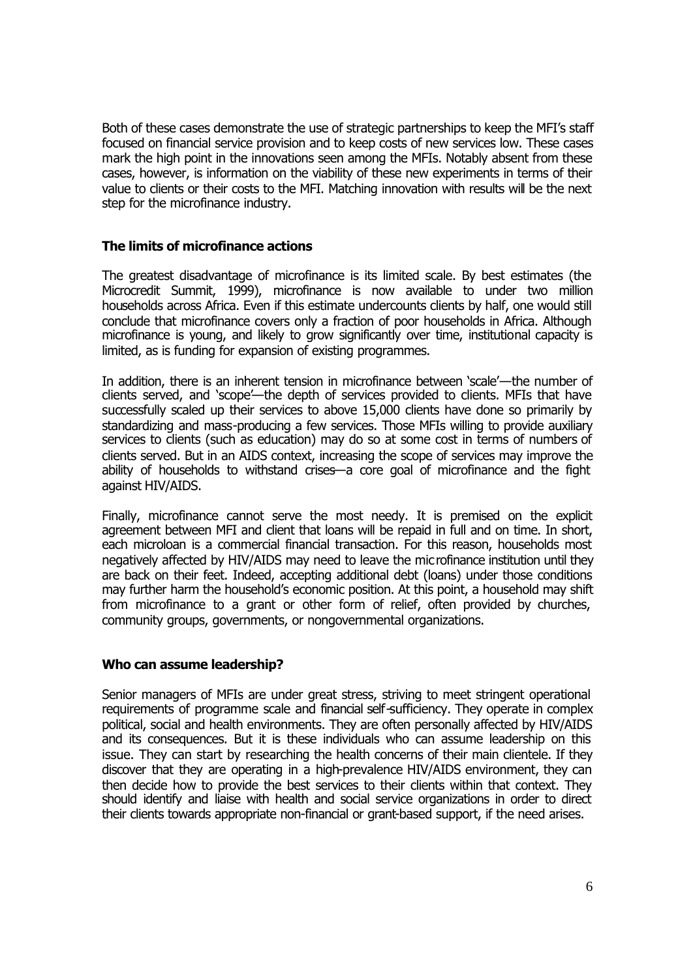Both of these cases demonstrate the use of strategic partnerships to keep the MFI's staff focused on financial service provision and to keep costs of new services low. These cases mark the high point in the innovations seen among the MFIs. Notably absent from these cases, however, is information on the viability of these new experiments in terms of their value to clients or their costs to the MFI. Matching innovation with results will be the next step for the microfinance industry.

# **The limits of microfinance actions**

The greatest disadvantage of microfinance is its limited scale. By best estimates (the Microcredit Summit, 1999), microfinance is now available to under two million households across Africa. Even if this estimate undercounts clients by half, one would still conclude that microfinance covers only a fraction of poor households in Africa. Although microfinance is young, and likely to grow significantly over time, institutional capacity is limited, as is funding for expansion of existing programmes.

In addition, there is an inherent tension in microfinance between 'scale'—the number of clients served, and 'scope'—the depth of services provided to clients. MFIs that have successfully scaled up their services to above 15,000 clients have done so primarily by standardizing and mass-producing a few services. Those MFIs willing to provide auxiliary services to clients (such as education) may do so at some cost in terms of numbers of clients served. But in an AIDS context, increasing the scope of services may improve the ability of households to withstand crises—a core goal of microfinance and the fight against HIV/AIDS.

Finally, microfinance cannot serve the most needy. It is premised on the explicit agreement between MFI and client that loans will be repaid in full and on time. In short, each microloan is a commercial financial transaction. For this reason, households most negatively affected by HIV/AIDS may need to leave the microfinance institution until they are back on their feet. Indeed, accepting additional debt (loans) under those conditions may further harm the household's economic position. At this point, a household may shift from microfinance to a grant or other form of relief, often provided by churches, community groups, governments, or nongovernmental organizations.

# **Who can assume leadership?**

Senior managers of MFIs are under great stress, striving to meet stringent operational requirements of programme scale and financial self-sufficiency. They operate in complex political, social and health environments. They are often personally affected by HIV/AIDS and its consequences. But it is these individuals who can assume leadership on this issue. They can start by researching the health concerns of their main clientele. If they discover that they are operating in a high-prevalence HIV/AIDS environment, they can then decide how to provide the best services to their clients within that context. They should identify and liaise with health and social service organizations in order to direct their clients towards appropriate non-financial or grant-based support, if the need arises.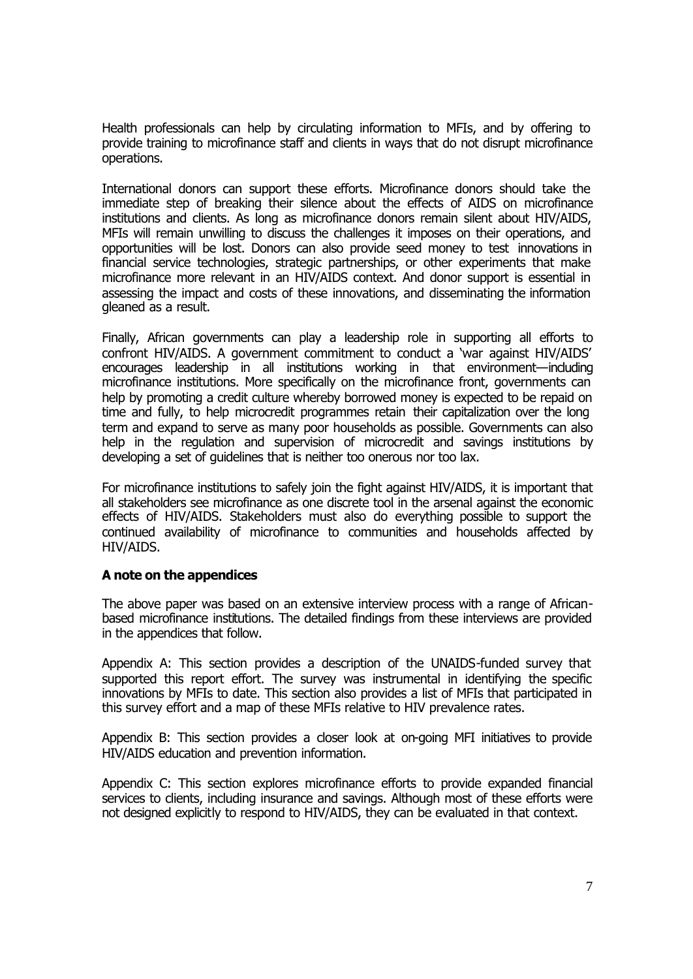Health professionals can help by circulating information to MFIs, and by offering to provide training to microfinance staff and clients in ways that do not disrupt microfinance operations.

International donors can support these efforts. Microfinance donors should take the immediate step of breaking their silence about the effects of AIDS on microfinance institutions and clients. As long as microfinance donors remain silent about HIV/AIDS, MFIs will remain unwilling to discuss the challenges it imposes on their operations, and opportunities will be lost. Donors can also provide seed money to test innovations in financial service technologies, strategic partnerships, or other experiments that make microfinance more relevant in an HIV/AIDS context. And donor support is essential in assessing the impact and costs of these innovations, and disseminating the information gleaned as a result.

Finally, African governments can play a leadership role in supporting all efforts to confront HIV/AIDS. A government commitment to conduct a 'war against HIV/AIDS' encourages leadership in all institutions working in that environment—including microfinance institutions. More specifically on the microfinance front, governments can help by promoting a credit culture whereby borrowed money is expected to be repaid on time and fully, to help microcredit programmes retain their capitalization over the long term and expand to serve as many poor households as possible. Governments can also help in the regulation and supervision of microcredit and savings institutions by developing a set of guidelines that is neither too onerous nor too lax.

For microfinance institutions to safely join the fight against HIV/AIDS, it is important that all stakeholders see microfinance as one discrete tool in the arsenal against the economic effects of HIV/AIDS. Stakeholders must also do everything possible to support the continued availability of microfinance to communities and households affected by HIV/AIDS.

# **A note on the appendices**

The above paper was based on an extensive interview process with a range of Africanbased microfinance institutions. The detailed findings from these interviews are provided in the appendices that follow.

Appendix A: This section provides a description of the UNAIDS-funded survey that supported this report effort. The survey was instrumental in identifying the specific innovations by MFIs to date. This section also provides a list of MFIs that participated in this survey effort and a map of these MFIs relative to HIV prevalence rates.

Appendix B: This section provides a closer look at on-going MFI initiatives to provide HIV/AIDS education and prevention information.

Appendix C: This section explores microfinance efforts to provide expanded financial services to clients, including insurance and savings. Although most of these efforts were not designed explicitly to respond to HIV/AIDS, they can be evaluated in that context.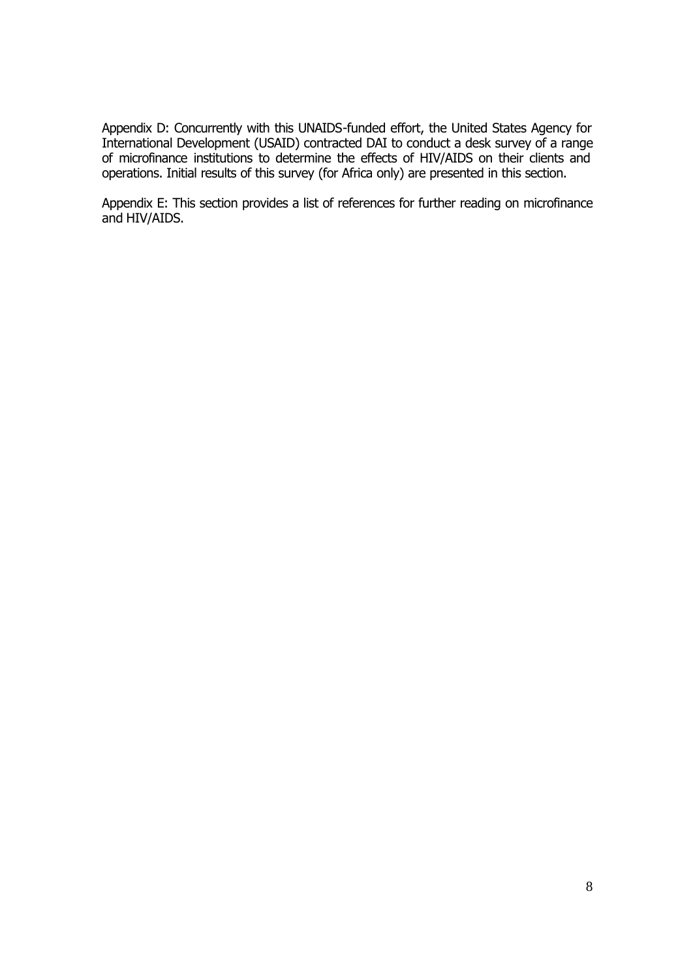Appendix D: Concurrently with this UNAIDS-funded effort, the United States Agency for International Development (USAID) contracted DAI to conduct a desk survey of a range of microfinance institutions to determine the effects of HIV/AIDS on their clients and operations. Initial results of this survey (for Africa only) are presented in this section.

Appendix E: This section provides a list of references for further reading on microfinance and HIV/AIDS.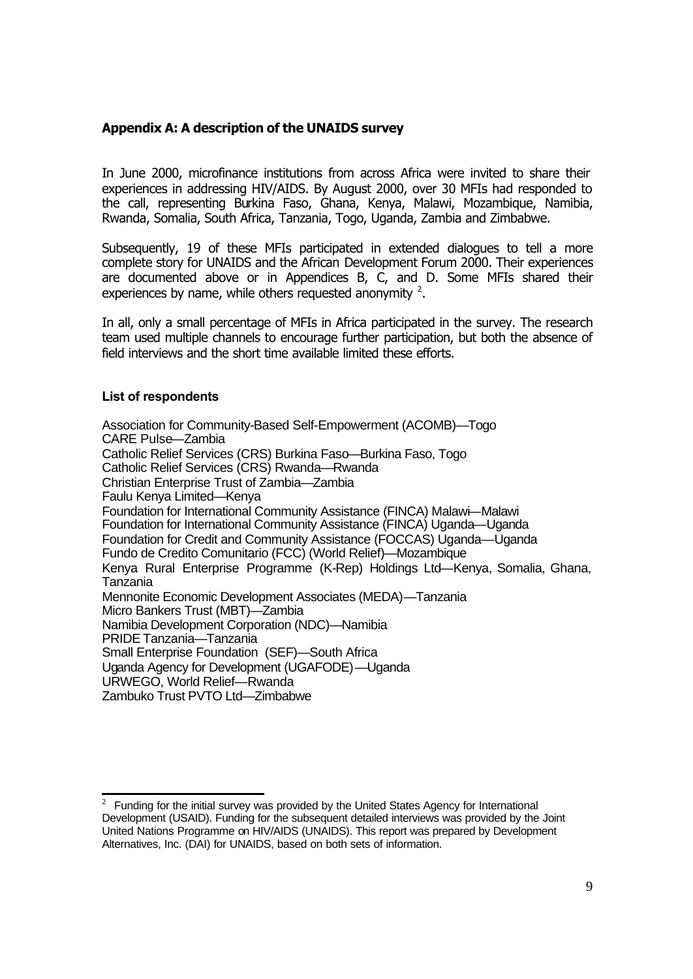# **Appendix A: A description of the UNAIDS survey**

In June 2000, microfinance institutions from across Africa were invited to share their experiences in addressing HIV/AIDS. By August 2000, over 30 MFIs had responded to the call, representing Burkina Faso, Ghana, Kenya, Malawi, Mozambique, Namibia, Rwanda, Somalia, South Africa, Tanzania, Togo, Uganda, Zambia and Zimbabwe.

Subsequently, 19 of these MFIs participated in extended dialogues to tell a more complete story for UNAIDS and the African Development Forum 2000. Their experiences are documented above or in Appendices B, C, and D. Some MFIs shared their experiences by name, while others requested anonymity  $^2$ .

In all, only a small percentage of MFIs in Africa participated in the survey. The research team used multiple channels to encourage further participation, but both the absence of field interviews and the short time available limited these efforts.

## **List of respondents**

l

Association for Community-Based Self-Empowerment (ACOMB)—Togo CARE Pulse—Zambia Catholic Relief Services (CRS) Burkina Faso—Burkina Faso, Togo Catholic Relief Services (CRS) Rwanda—Rwanda Christian Enterprise Trust of Zambia—Zambia Faulu Kenya Limited—Kenya Foundation for International Community Assistance (FINCA) Malawi—Malawi Foundation for International Community Assistance (FINCA) Uganda—Uganda Foundation for Credit and Community Assistance (FOCCAS) Uganda—Uganda Fundo de Credito Comunitario (FCC) (World Relief)—Mozambique Kenya Rural Enterprise Programme (K-Rep) Holdings Ltd—Kenya, Somalia, Ghana, Tanzania Mennonite Economic Development Associates (MEDA)—Tanzania Micro Bankers Trust (MBT)—Zambia Namibia Development Corporation (NDC)—Namibia PRIDE Tanzania—Tanzania Small Enterprise Foundation (SEF)—South Africa Uganda Agency for Development (UGAFODE)—Uganda URWEGO, World Relief—Rwanda Zambuko Trust PVTO Ltd—Zimbabwe

<sup>2</sup> Funding for the initial survey was provided by the United States Agency for International Development (USAID). Funding for the subsequent detailed interviews was provided by the Joint United Nations Programme on HIV/AIDS (UNAIDS). This report was prepared by Development Alternatives, Inc. (DAI) for UNAIDS, based on both sets of information.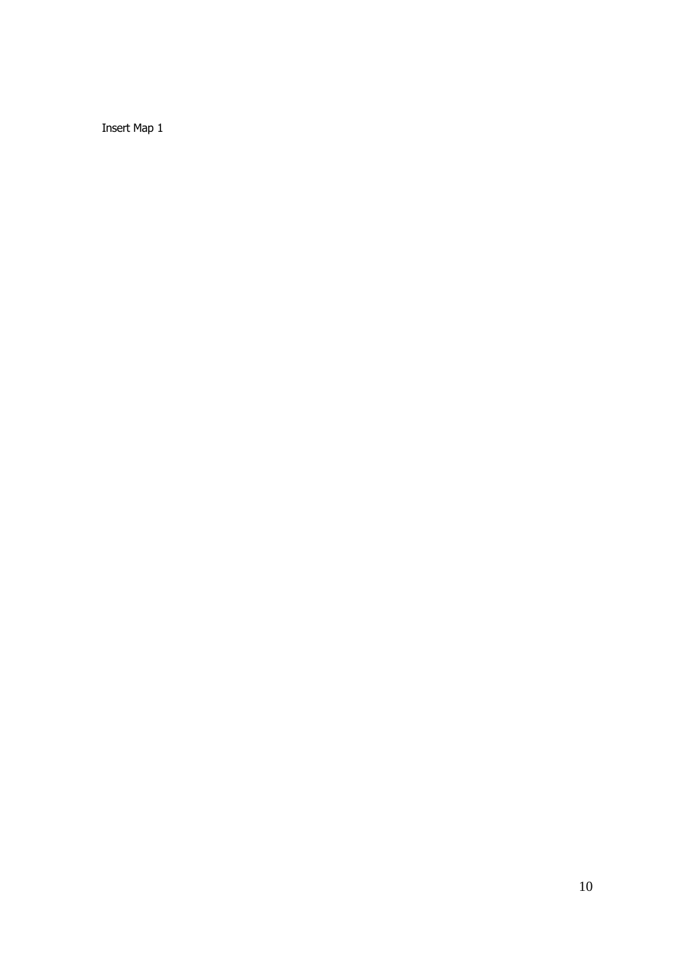Insert Map 1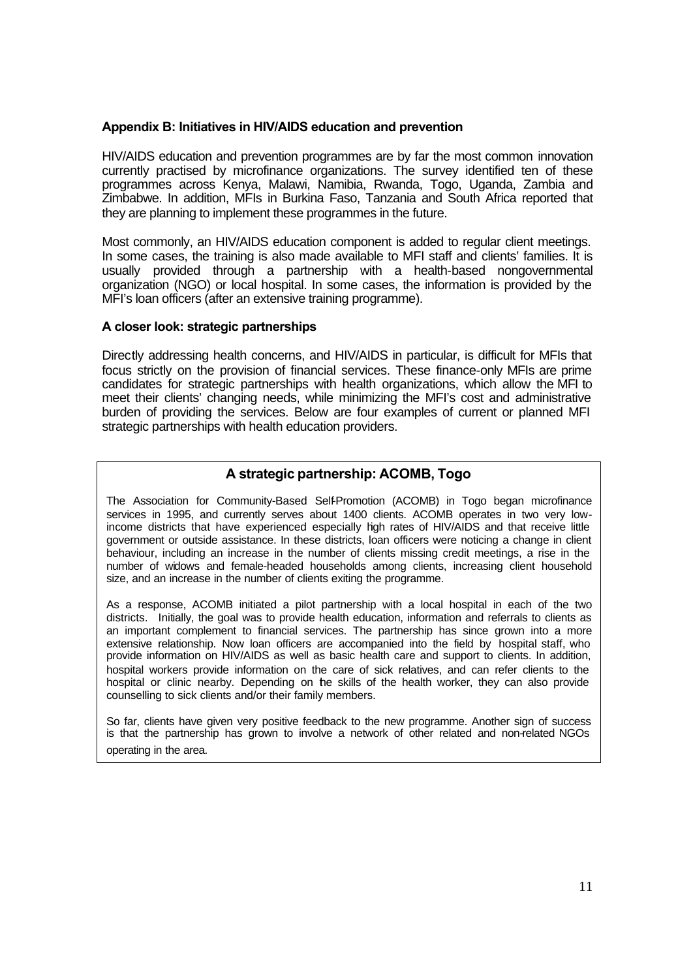## **Appendix B: Initiatives in HIV/AIDS education and prevention**

HIV/AIDS education and prevention programmes are by far the most common innovation currently practised by microfinance organizations. The survey identified ten of these programmes across Kenya, Malawi, Namibia, Rwanda, Togo, Uganda, Zambia and Zimbabwe. In addition, MFIs in Burkina Faso, Tanzania and South Africa reported that they are planning to implement these programmes in the future.

Most commonly, an HIV/AIDS education component is added to regular client meetings. In some cases, the training is also made available to MFI staff and clients' families. It is usually provided through a partnership with a health-based nongovernmental organization (NGO) or local hospital. In some cases, the information is provided by the MFI's loan officers (after an extensive training programme).

## **A closer look: strategic partnerships**

Directly addressing health concerns, and HIV/AIDS in particular, is difficult for MFIs that focus strictly on the provision of financial services. These finance-only MFIs are prime candidates for strategic partnerships with health organizations, which allow the MFI to meet their clients' changing needs, while minimizing the MFI's cost and administrative burden of providing the services. Below are four examples of current or planned MFI strategic partnerships with health education providers.

# **A strategic partnership: ACOMB, Togo**

The Association for Community-Based Self-Promotion (ACOMB) in Togo began microfinance services in 1995, and currently serves about 1400 clients. ACOMB operates in two very lowincome districts that have experienced especially high rates of HIV/AIDS and that receive little government or outside assistance. In these districts, loan officers were noticing a change in client behaviour, including an increase in the number of clients missing credit meetings, a rise in the number of widows and female-headed households among clients, increasing client household size, and an increase in the number of clients exiting the programme.

As a response, ACOMB initiated a pilot partnership with a local hospital in each of the two districts. Initially, the goal was to provide health education, information and referrals to clients as an important complement to financial services. The partnership has since grown into a more extensive relationship. Now loan officers are accompanied into the field by hospital staff, who provide information on HIV/AIDS as well as basic health care and support to clients. In addition, hospital workers provide information on the care of sick relatives, and can refer clients to the hospital or clinic nearby. Depending on the skills of the health worker, they can also provide counselling to sick clients and/or their family members.

So far, clients have given very positive feedback to the new programme. Another sign of success is that the partnership has grown to involve a network of other related and non-related NGOs operating in the area.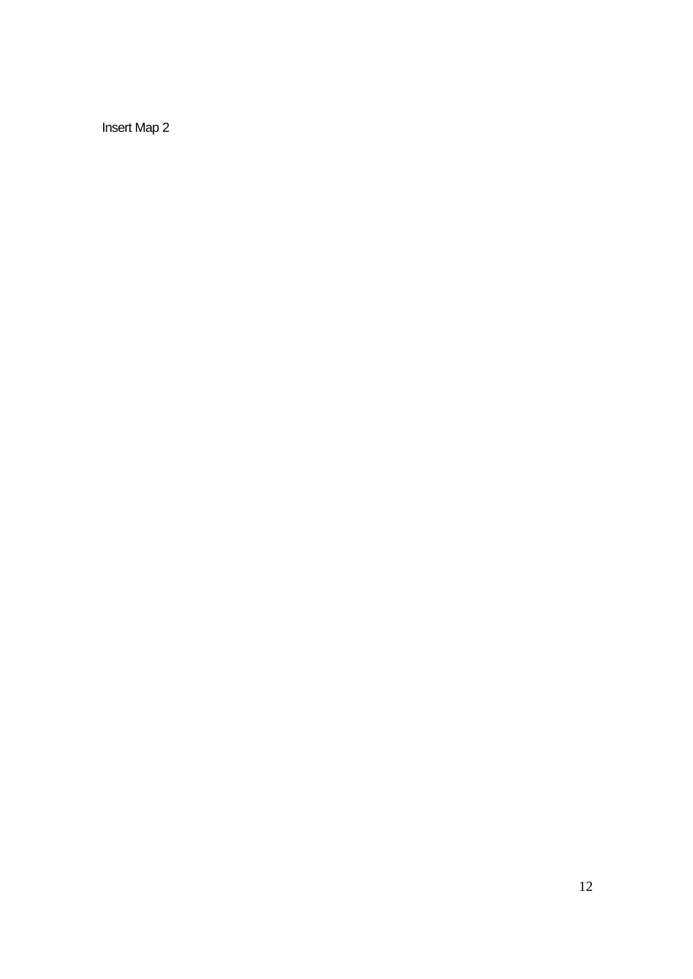Insert Map 2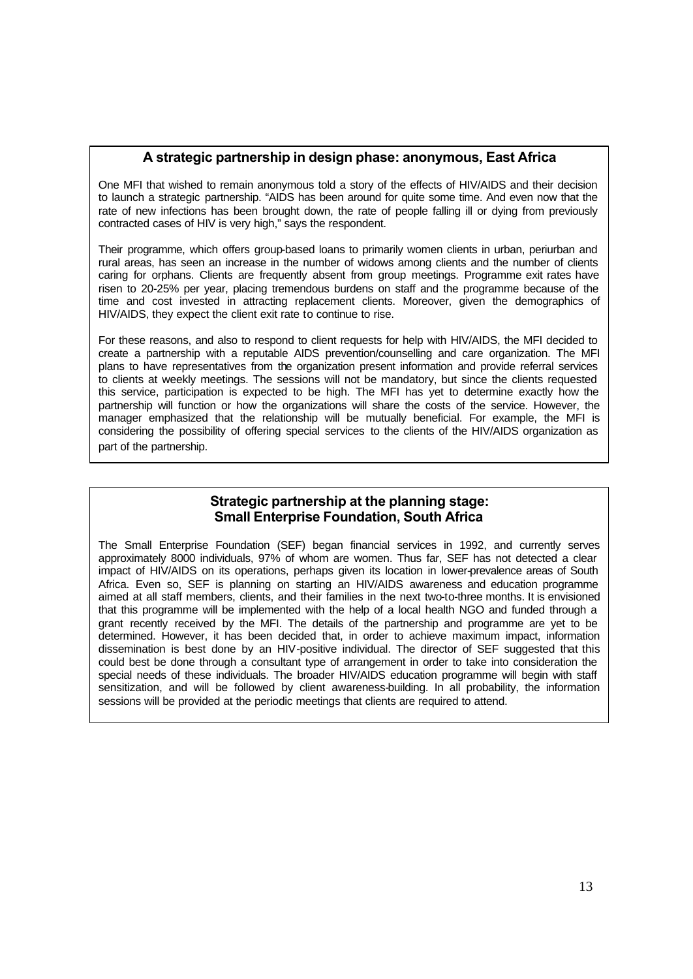## **A strategic partnership in design phase: anonymous, East Africa**

One MFI that wished to remain anonymous told a story of the effects of HIV/AIDS and their decision to launch a strategic partnership. "AIDS has been around for quite some time. And even now that the rate of new infections has been brought down, the rate of people falling ill or dying from previously contracted cases of HIV is very high," says the respondent.

Their programme, which offers group-based loans to primarily women clients in urban, periurban and rural areas, has seen an increase in the number of widows among clients and the number of clients caring for orphans. Clients are frequently absent from group meetings. Programme exit rates have risen to 20-25% per year, placing tremendous burdens on staff and the programme because of the time and cost invested in attracting replacement clients. Moreover, given the demographics of HIV/AIDS, they expect the client exit rate to continue to rise.

For these reasons, and also to respond to client requests for help with HIV/AIDS, the MFI decided to create a partnership with a reputable AIDS prevention/counselling and care organization. The MFI plans to have representatives from the organization present information and provide referral services to clients at weekly meetings. The sessions will not be mandatory, but since the clients requested this service, participation is expected to be high. The MFI has yet to determine exactly how the partnership will function or how the organizations will share the costs of the service. However, the manager emphasized that the relationship will be mutually beneficial. For example, the MFI is considering the possibility of offering special services to the clients of the HIV/AIDS organization as part of the partnership.

# **Strategic partnership at the planning stage: Small Enterprise Foundation, South Africa**

The Small Enterprise Foundation (SEF) began financial services in 1992, and currently serves approximately 8000 individuals, 97% of whom are women. Thus far, SEF has not detected a clear impact of HIV/AIDS on its operations, perhaps given its location in lower-prevalence areas of South Africa. Even so, SEF is planning on starting an HIV/AIDS awareness and education programme aimed at all staff members, clients, and their families in the next two-to-three months. It is envisioned that this programme will be implemented with the help of a local health NGO and funded through a grant recently received by the MFI. The details of the partnership and programme are yet to be determined. However, it has been decided that, in order to achieve maximum impact, information dissemination is best done by an HIV-positive individual. The director of SEF suggested that this could best be done through a consultant type of arrangement in order to take into consideration the special needs of these individuals. The broader HIV/AIDS education programme will begin with staff sensitization, and will be followed by client awareness-building. In all probability, the information sessions will be provided at the periodic meetings that clients are required to attend.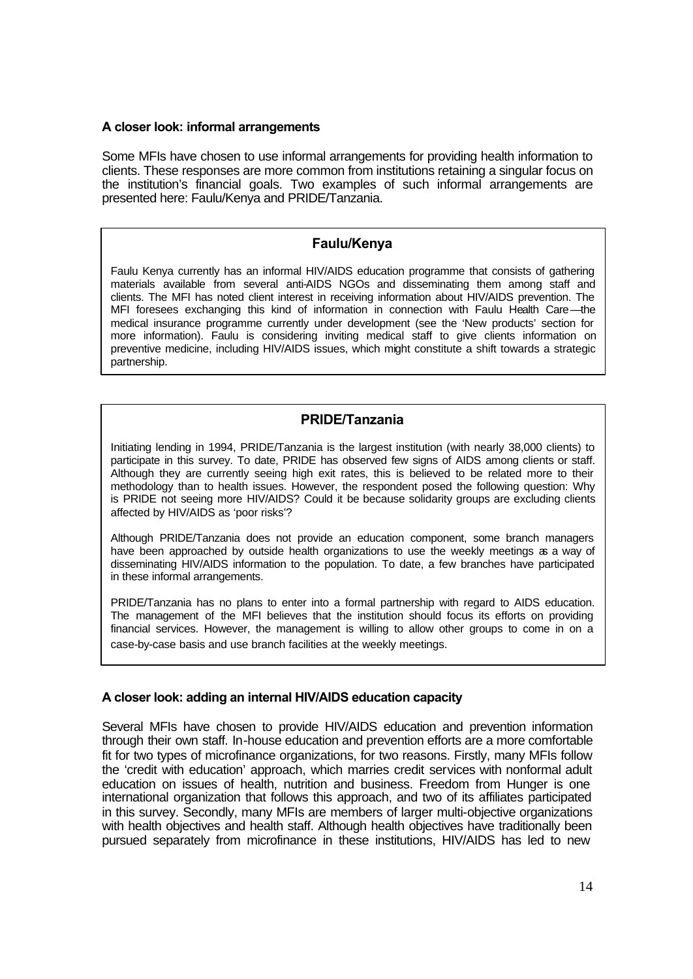## **A closer look: informal arrangements**

Some MFIs have chosen to use informal arrangements for providing health information to clients. These responses are more common from institutions retaining a singular focus on the institution's financial goals. Two examples of such informal arrangements are presented here: Faulu/Kenya and PRIDE/Tanzania.

# **Faulu/Kenya**

Faulu Kenya currently has an informal HIV/AIDS education programme that consists of gathering materials available from several anti-AIDS NGOs and disseminating them among staff and clients. The MFI has noted client interest in receiving information about HIV/AIDS prevention. The MFI foresees exchanging this kind of information in connection with Faulu Health Care—the medical insurance programme currently under development (see the 'New products' section for more information). Faulu is considering inviting medical staff to give clients information on preventive medicine, including HIV/AIDS issues, which might constitute a shift towards a strategic partnership.

# **PRIDE/Tanzania**

Initiating lending in 1994, PRIDE/Tanzania is the largest institution (with nearly 38,000 clients) to participate in this survey. To date, PRIDE has observed few signs of AIDS among clients or staff. Although they are currently seeing high exit rates, this is believed to be related more to their methodology than to health issues. However, the respondent posed the following question: Why is PRIDE not seeing more HIV/AIDS? Could it be because solidarity groups are excluding clients affected by HIV/AIDS as 'poor risks'?

Although PRIDE/Tanzania does not provide an education component, some branch managers have been approached by outside health organizations to use the weekly meetings as a way of disseminating HIV/AIDS information to the population. To date, a few branches have participated in these informal arrangements.

PRIDE/Tanzania has no plans to enter into a formal partnership with regard to AIDS education. The management of the MFI believes that the institution should focus its efforts on providing financial services. However, the management is willing to allow other groups to come in on a case-by-case basis and use branch facilities at the weekly meetings.

# **A closer look: adding an internal HIV/AIDS education capacity**

Several MFIs have chosen to provide HIV/AIDS education and prevention information through their own staff. In-house education and prevention efforts are a more comfortable fit for two types of microfinance organizations, for two reasons. Firstly, many MFIs follow the 'credit with education' approach, which marries credit services with nonformal adult education on issues of health, nutrition and business. Freedom from Hunger is one international organization that follows this approach, and two of its affiliates participated in this survey. Secondly, many MFIs are members of larger multi-objective organizations with health objectives and health staff. Although health objectives have traditionally been pursued separately from microfinance in these institutions, HIV/AIDS has led to new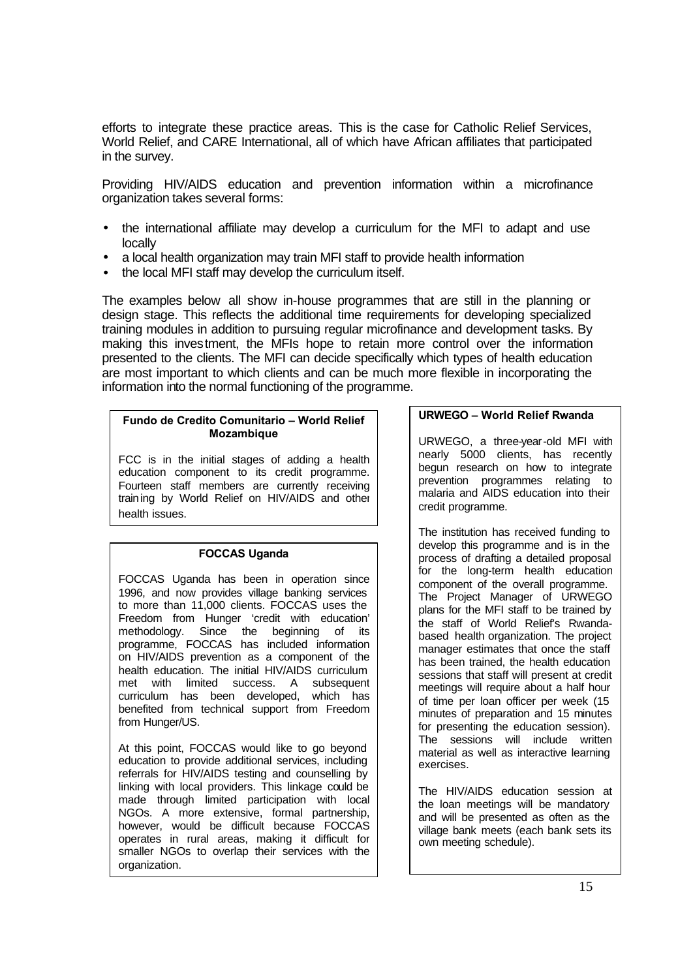efforts to integrate these practice areas. This is the case for Catholic Relief Services, World Relief, and CARE International, all of which have African affiliates that participated in the survey.

Providing HIV/AIDS education and prevention information within a microfinance organization takes several forms:

- the international affiliate may develop a curriculum for the MFI to adapt and use locally
- a local health organization may train MFI staff to provide health information
- the local MFI staff may develop the curriculum itself.

The examples below all show in-house programmes that are still in the planning or design stage. This reflects the additional time requirements for developing specialized training modules in addition to pursuing regular microfinance and development tasks. By making this investment, the MFIs hope to retain more control over the information presented to the clients. The MFI can decide specifically which types of health education are most important to which clients and can be much more flexible in incorporating the information into the normal functioning of the programme.

#### **Fundo de Credito Comunitario – World Relief Mozambique**

FCC is in the initial stages of adding a health education component to its credit programme. Fourteen staff members are currently receiving training by World Relief on HIV/AIDS and other health issues.

# **FOCCAS Uganda**

FOCCAS Uganda has been in operation since 1996, and now provides village banking services to more than 11,000 clients. FOCCAS uses the Freedom from Hunger 'credit with education' methodology. Since the beginning of its programme, FOCCAS has included information on HIV/AIDS prevention as a component of the health education. The initial HIV/AIDS curriculum met with limited success. A subsequent curriculum has been developed, which has benefited from technical support from Freedom from Hunger/US.

At this point, FOCCAS would like to go beyond education to provide additional services, including referrals for HIV/AIDS testing and counselling by linking with local providers. This linkage could be made through limited participation with local NGOs. A more extensive, formal partnership, however, would be difficult because FOCCAS operates in rural areas, making it difficult for smaller NGOs to overlap their services with the organization.

### **URWEGO – World Relief Rwanda**

URWEGO, a three-year-old MFI with nearly 5000 clients, has recently begun research on how to integrate prevention programmes relating to malaria and AIDS education into their credit programme.

The institution has received funding to develop this programme and is in the process of drafting a detailed proposal for the long-term health education component of the overall programme. The Project Manager of URWEGO plans for the MFI staff to be trained by the staff of World Relief's Rwandabased health organization. The project manager estimates that once the staff has been trained, the health education sessions that staff will present at credit meetings will require about a half hour of time per loan officer per week (15 minutes of preparation and 15 minutes for presenting the education session). The sessions will include written material as well as interactive learning exercises.

The HIV/AIDS education session at the loan meetings will be mandatory and will be presented as often as the village bank meets (each bank sets its own meeting schedule).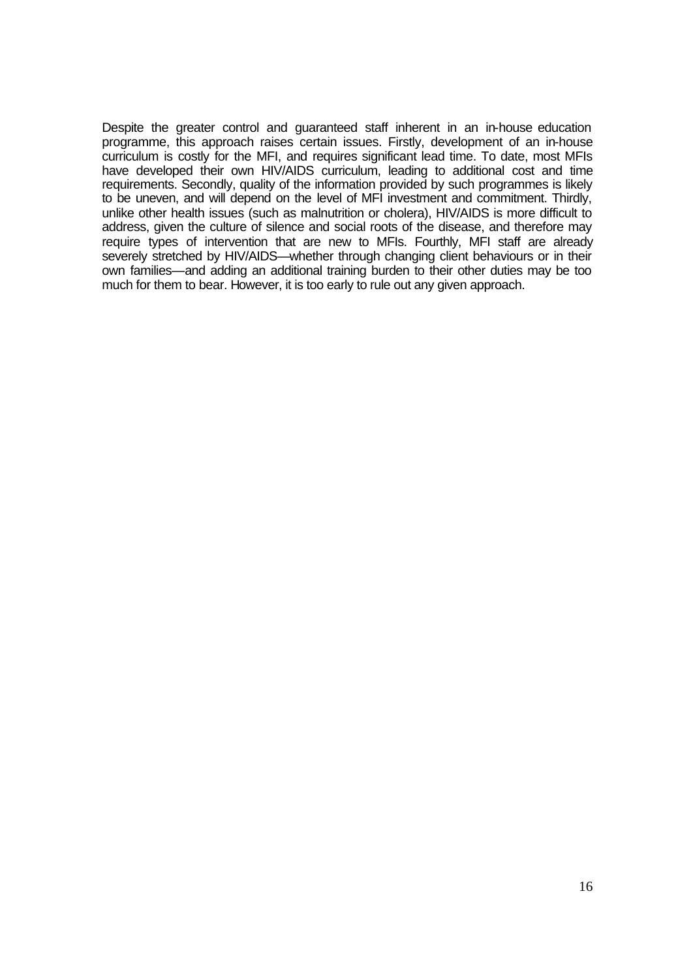Despite the greater control and guaranteed staff inherent in an in-house education programme, this approach raises certain issues. Firstly, development of an in-house curriculum is costly for the MFI, and requires significant lead time. To date, most MFIs have developed their own HIV/AIDS curriculum, leading to additional cost and time requirements. Secondly, quality of the information provided by such programmes is likely to be uneven, and will depend on the level of MFI investment and commitment. Thirdly, unlike other health issues (such as malnutrition or cholera), HIV/AIDS is more difficult to address, given the culture of silence and social roots of the disease, and therefore may require types of intervention that are new to MFIs. Fourthly, MFI staff are already severely stretched by HIV/AIDS—whether through changing client behaviours or in their own families—and adding an additional training burden to their other duties may be too much for them to bear. However, it is too early to rule out any given approach.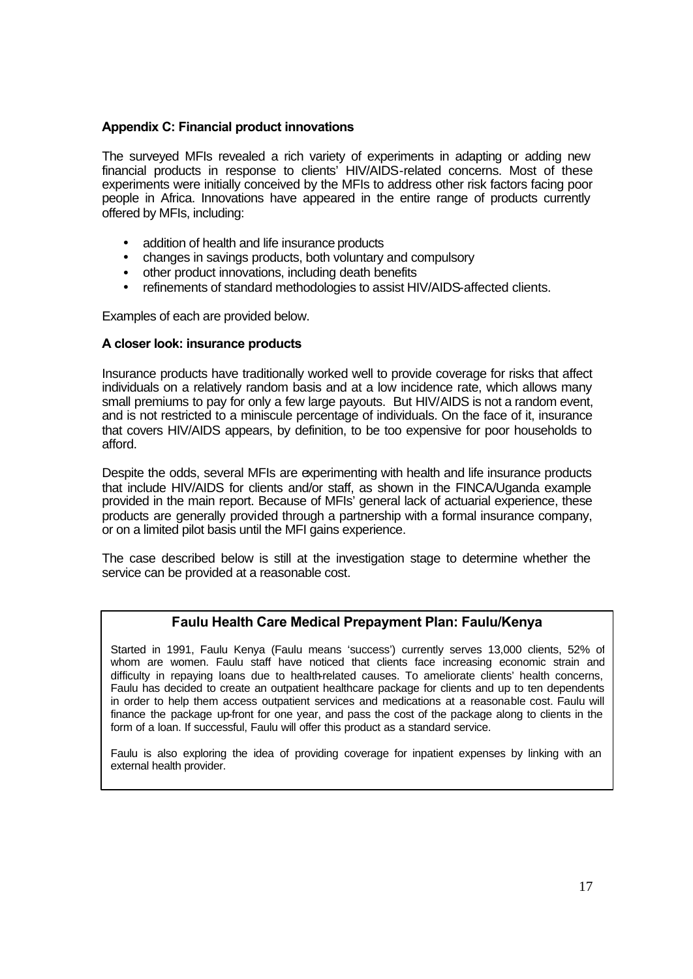## **Appendix C: Financial product innovations**

The surveyed MFIs revealed a rich variety of experiments in adapting or adding new financial products in response to clients' HIV/AIDS-related concerns. Most of these experiments were initially conceived by the MFIs to address other risk factors facing poor people in Africa. Innovations have appeared in the entire range of products currently offered by MFIs, including:

- addition of health and life insurance products
- changes in savings products, both voluntary and compulsory
- other product innovations, including death benefits
- refinements of standard methodologies to assist HIV/AIDS-affected clients.

Examples of each are provided below.

## **A closer look: insurance products**

Insurance products have traditionally worked well to provide coverage for risks that affect individuals on a relatively random basis and at a low incidence rate, which allows many small premiums to pay for only a few large payouts. But HIV/AIDS is not a random event, and is not restricted to a miniscule percentage of individuals. On the face of it, insurance that covers HIV/AIDS appears, by definition, to be too expensive for poor households to afford.

Despite the odds, several MFIs are experimenting with health and life insurance products that include HIV/AIDS for clients and/or staff, as shown in the FINCA/Uganda example provided in the main report. Because of MFIs' general lack of actuarial experience, these products are generally provided through a partnership with a formal insurance company, or on a limited pilot basis until the MFI gains experience.

The case described below is still at the investigation stage to determine whether the service can be provided at a reasonable cost.

# **Faulu Health Care Medical Prepayment Plan: Faulu/Kenya**

Started in 1991, Faulu Kenya (Faulu means 'success') currently serves 13,000 clients, 52% of whom are women. Faulu staff have noticed that clients face increasing economic strain and difficulty in repaying loans due to health-related causes. To ameliorate clients' health concerns, Faulu has decided to create an outpatient healthcare package for clients and up to ten dependents in order to help them access outpatient services and medications at a reasonable cost. Faulu will finance the package up-front for one year, and pass the cost of the package along to clients in the form of a loan. If successful, Faulu will offer this product as a standard service.

Faulu is also exploring the idea of providing coverage for inpatient expenses by linking with an external health provider.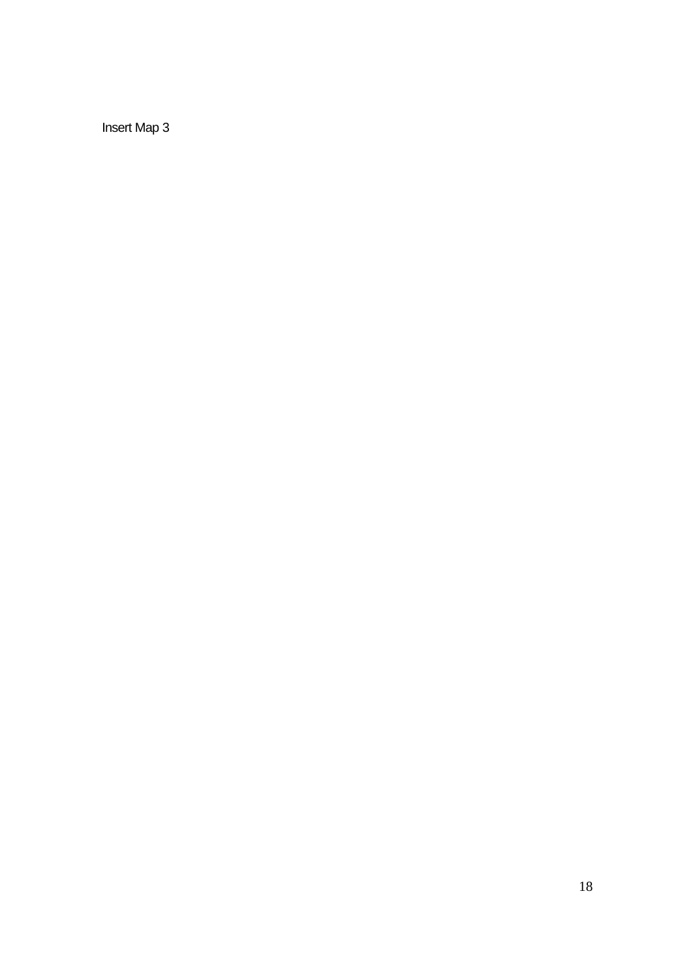Insert Map 3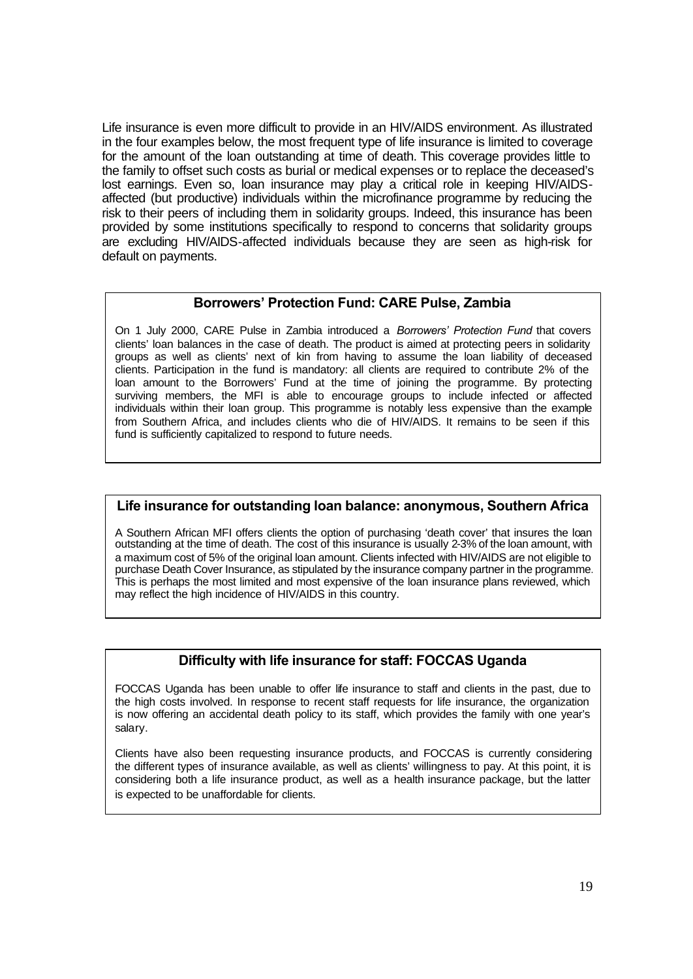Life insurance is even more difficult to provide in an HIV/AIDS environment. As illustrated in the four examples below, the most frequent type of life insurance is limited to coverage for the amount of the loan outstanding at time of death. This coverage provides little to the family to offset such costs as burial or medical expenses or to replace the deceased's lost earnings. Even so, loan insurance may play a critical role in keeping HIV/AIDSaffected (but productive) individuals within the microfinance programme by reducing the risk to their peers of including them in solidarity groups. Indeed, this insurance has been provided by some institutions specifically to respond to concerns that solidarity groups are excluding HIV/AIDS-affected individuals because they are seen as high-risk for default on payments.

# **Borrowers' Protection Fund: CARE Pulse, Zambia**

On 1 July 2000, CARE Pulse in Zambia introduced a *Borrowers' Protection Fund* that covers clients' loan balances in the case of death. The product is aimed at protecting peers in solidarity groups as well as clients' next of kin from having to assume the loan liability of deceased clients. Participation in the fund is mandatory: all clients are required to contribute 2% of the loan amount to the Borrowers' Fund at the time of joining the programme. By protecting surviving members, the MFI is able to encourage groups to include infected or affected individuals within their loan group. This programme is notably less expensive than the example from Southern Africa, and includes clients who die of HIV/AIDS. It remains to be seen if this fund is sufficiently capitalized to respond to future needs.

# **Life insurance for outstanding loan balance: anonymous, Southern Africa**

A Southern African MFI offers clients the option of purchasing 'death cover' that insures the loan outstanding at the time of death. The cost of this insurance is usually 2-3% of the loan amount, with a maximum cost of 5% of the original loan amount. Clients infected with HIV/AIDS are not eligible to purchase Death Cover Insurance, as stipulated by the insurance company partner in the programme. This is perhaps the most limited and most expensive of the loan insurance plans reviewed, which may reflect the high incidence of HIV/AIDS in this country.

# **Difficulty with life insurance for staff: FOCCAS Uganda**

FOCCAS Uganda has been unable to offer life insurance to staff and clients in the past, due to the high costs involved. In response to recent staff requests for life insurance, the organization is now offering an accidental death policy to its staff, which provides the family with one year's salary.

Clients have also been requesting insurance products, and FOCCAS is currently considering the different types of insurance available, as well as clients' willingness to pay. At this point, it is considering both a life insurance product, as well as a health insurance package, but the latter is expected to be unaffordable for clients.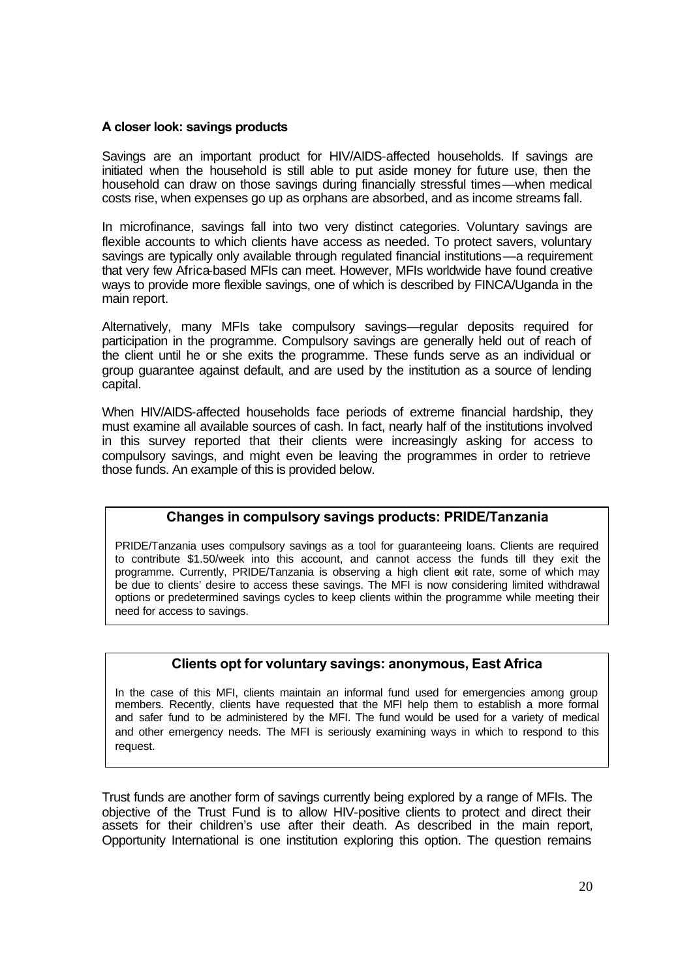## **A closer look: savings products**

Savings are an important product for HIV/AIDS-affected households. If savings are initiated when the household is still able to put aside money for future use, then the household can draw on those savings during financially stressful times—when medical costs rise, when expenses go up as orphans are absorbed, and as income streams fall.

In microfinance, savings fall into two very distinct categories. Voluntary savings are flexible accounts to which clients have access as needed. To protect savers, voluntary savings are typically only available through regulated financial institutions—a requirement that very few Africa-based MFIs can meet. However, MFIs worldwide have found creative ways to provide more flexible savings, one of which is described by FINCA/Uganda in the main report.

Alternatively, many MFIs take compulsory savings—regular deposits required for participation in the programme. Compulsory savings are generally held out of reach of the client until he or she exits the programme. These funds serve as an individual or group guarantee against default, and are used by the institution as a source of lending capital.

When HIV/AIDS-affected households face periods of extreme financial hardship, they must examine all available sources of cash. In fact, nearly half of the institutions involved in this survey reported that their clients were increasingly asking for access to compulsory savings, and might even be leaving the programmes in order to retrieve those funds. An example of this is provided below.

# **Changes in compulsory savings products: PRIDE/Tanzania**

PRIDE/Tanzania uses compulsory savings as a tool for guaranteeing loans. Clients are required to contribute \$1.50/week into this account, and cannot access the funds till they exit the programme. Currently, PRIDE/Tanzania is observing a high client exit rate, some of which may be due to clients' desire to access these savings. The MFI is now considering limited withdrawal options or predetermined savings cycles to keep clients within the programme while meeting their need for access to savings.

# **Clients opt for voluntary savings: anonymous, East Africa**

In the case of this MFI, clients maintain an informal fund used for emergencies among group members. Recently, clients have requested that the MFI help them to establish a more formal and safer fund to be administered by the MFI. The fund would be used for a variety of medical and other emergency needs. The MFI is seriously examining ways in which to respond to this request.

Trust funds are another form of savings currently being explored by a range of MFIs. The objective of the Trust Fund is to allow HIV-positive clients to protect and direct their assets for their children's use after their death. As described in the main report, Opportunity International is one institution exploring this option. The question remains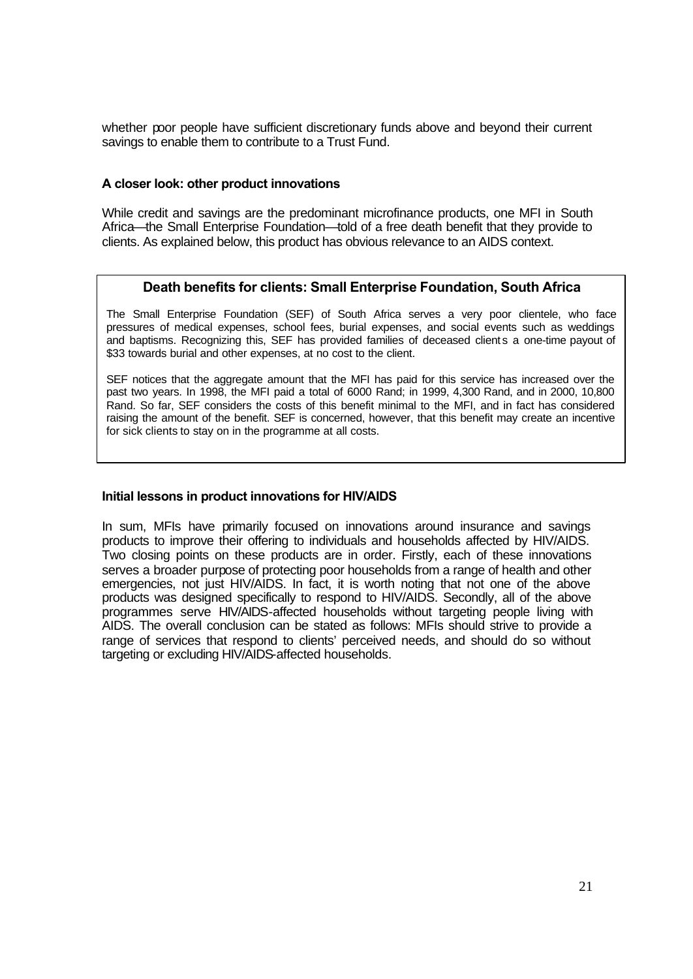whether poor people have sufficient discretionary funds above and beyond their current savings to enable them to contribute to a Trust Fund.

## **A closer look: other product innovations**

While credit and savings are the predominant microfinance products, one MFI in South Africa—the Small Enterprise Foundation—told of a free death benefit that they provide to clients. As explained below, this product has obvious relevance to an AIDS context.

### **Death benefits for clients: Small Enterprise Foundation, South Africa**

The Small Enterprise Foundation (SEF) of South Africa serves a very poor clientele, who face pressures of medical expenses, school fees, burial expenses, and social events such as weddings and baptisms. Recognizing this, SEF has provided families of deceased clients a one-time payout of \$33 towards burial and other expenses, at no cost to the client.

SEF notices that the aggregate amount that the MFI has paid for this service has increased over the past two years. In 1998, the MFI paid a total of 6000 Rand; in 1999, 4,300 Rand, and in 2000, 10,800 Rand. So far, SEF considers the costs of this benefit minimal to the MFI, and in fact has considered raising the amount of the benefit. SEF is concerned, however, that this benefit may create an incentive for sick clients to stay on in the programme at all costs.

## **Initial lessons in product innovations for HIV/AIDS**

In sum, MFIs have primarily focused on innovations around insurance and savings products to improve their offering to individuals and households affected by HIV/AIDS. Two closing points on these products are in order. Firstly, each of these innovations serves a broader purpose of protecting poor households from a range of health and other emergencies, not just HIV/AIDS. In fact, it is worth noting that not one of the above products was designed specifically to respond to HIV/AIDS. Secondly, all of the above programmes serve HIV/AIDS-affected households without targeting people living with AIDS. The overall conclusion can be stated as follows: MFIs should strive to provide a range of services that respond to clients' perceived needs, and should do so without targeting or excluding HIV/AIDS-affected households.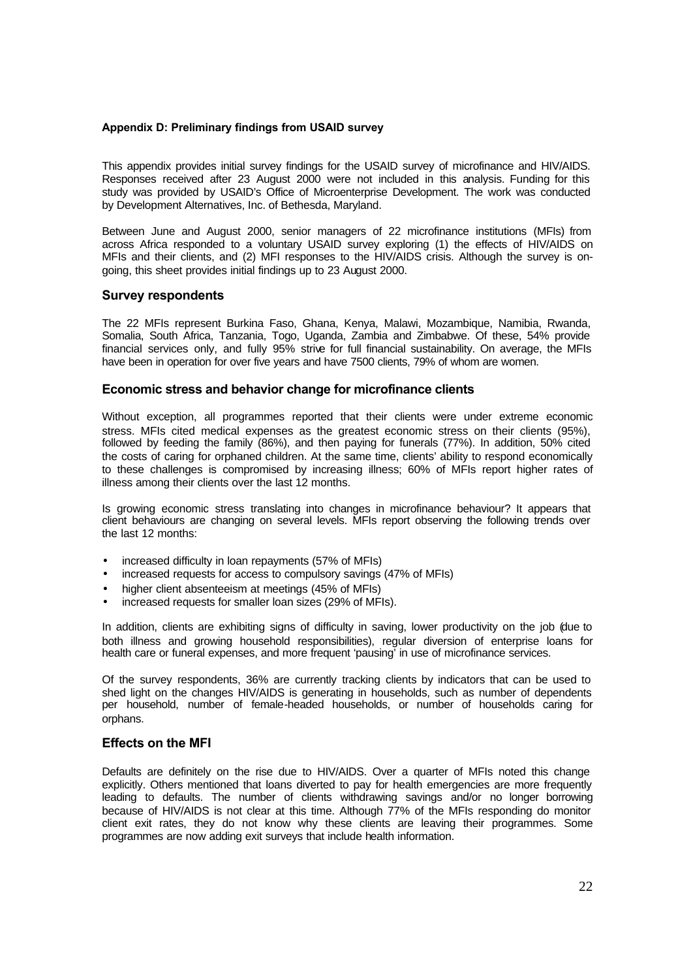#### **Appendix D: Preliminary findings from USAID survey**

This appendix provides initial survey findings for the USAID survey of microfinance and HIV/AIDS. Responses received after 23 August 2000 were not included in this analysis. Funding for this study was provided by USAID's Office of Microenterprise Development. The work was conducted by Development Alternatives, Inc. of Bethesda, Maryland.

Between June and August 2000, senior managers of 22 microfinance institutions (MFIs) from across Africa responded to a voluntary USAID survey exploring (1) the effects of HIV/AIDS on MFIs and their clients, and (2) MFI responses to the HIV/AIDS crisis. Although the survey is ongoing, this sheet provides initial findings up to 23 August 2000.

#### **Survey respondents**

The 22 MFIs represent Burkina Faso, Ghana, Kenya, Malawi, Mozambique, Namibia, Rwanda, Somalia, South Africa, Tanzania, Togo, Uganda, Zambia and Zimbabwe. Of these, 54% provide financial services only, and fully 95% strive for full financial sustainability. On average, the MFIs have been in operation for over five years and have 7500 clients, 79% of whom are women.

#### **Economic stress and behavior change for microfinance clients**

Without exception, all programmes reported that their clients were under extreme economic stress. MFIs cited medical expenses as the greatest economic stress on their clients (95%), followed by feeding the family (86%), and then paying for funerals (77%). In addition, 50% cited the costs of caring for orphaned children. At the same time, clients' ability to respond economically to these challenges is compromised by increasing illness; 60% of MFIs report higher rates of illness among their clients over the last 12 months.

Is growing economic stress translating into changes in microfinance behaviour? It appears that client behaviours are changing on several levels. MFIs report observing the following trends over the last 12 months:

- increased difficulty in loan repayments (57% of MFIs)
- increased requests for access to compulsory savings (47% of MFIs)
- higher client absenteeism at meetings (45% of MFIs)
- increased requests for smaller loan sizes (29% of MFIs).

In addition, clients are exhibiting signs of difficulty in saving, lower productivity on the job (due to both illness and growing household responsibilities), regular diversion of enterprise loans for health care or funeral expenses, and more frequent 'pausing' in use of microfinance services.

Of the survey respondents, 36% are currently tracking clients by indicators that can be used to shed light on the changes HIV/AIDS is generating in households, such as number of dependents per household, number of female-headed households, or number of households caring for orphans.

#### **Effects on the MFI**

Defaults are definitely on the rise due to HIV/AIDS. Over a quarter of MFIs noted this change explicitly. Others mentioned that loans diverted to pay for health emergencies are more frequently leading to defaults. The number of clients withdrawing savings and/or no longer borrowing because of HIV/AIDS is not clear at this time. Although 77% of the MFIs responding do monitor client exit rates, they do not know why these clients are leaving their programmes. Some programmes are now adding exit surveys that include health information.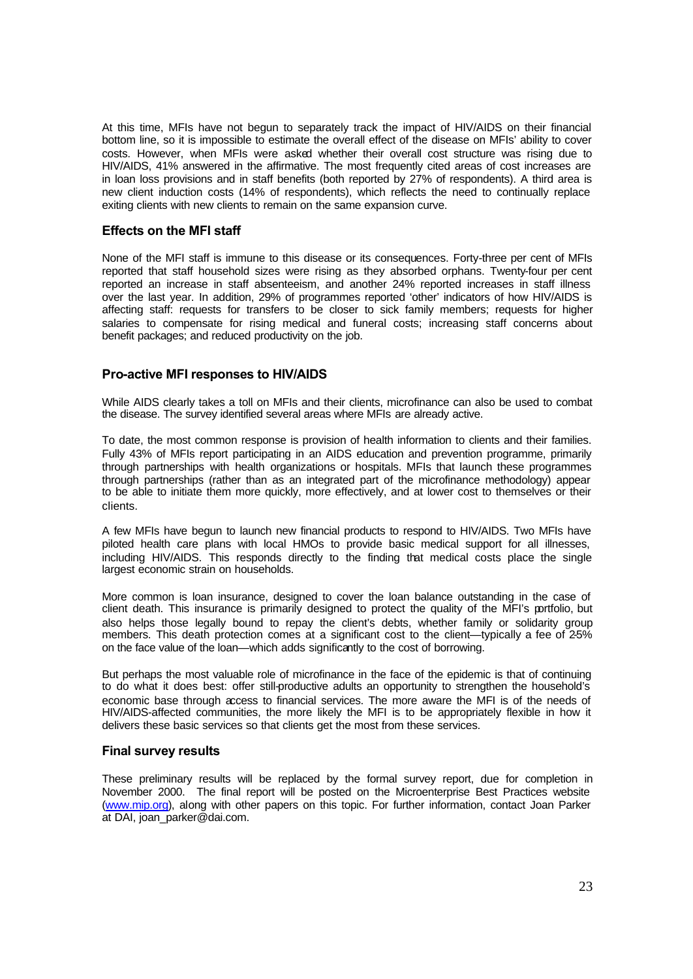At this time, MFIs have not begun to separately track the impact of HIV/AIDS on their financial bottom line, so it is impossible to estimate the overall effect of the disease on MFIs' ability to cover costs. However, when MFIs were asked whether their overall cost structure was rising due to HIV/AIDS, 41% answered in the affirmative. The most frequently cited areas of cost increases are in loan loss provisions and in staff benefits (both reported by 27% of respondents). A third area is new client induction costs (14% of respondents), which reflects the need to continually replace exiting clients with new clients to remain on the same expansion curve.

#### **Effects on the MFI staff**

None of the MFI staff is immune to this disease or its consequences. Forty-three per cent of MFIs reported that staff household sizes were rising as they absorbed orphans. Twenty-four per cent reported an increase in staff absenteeism, and another 24% reported increases in staff illness over the last year. In addition, 29% of programmes reported 'other' indicators of how HIV/AIDS is affecting staff: requests for transfers to be closer to sick family members; requests for higher salaries to compensate for rising medical and funeral costs; increasing staff concerns about benefit packages; and reduced productivity on the job.

### **Pro-active MFI responses to HIV/AIDS**

While AIDS clearly takes a toll on MFIs and their clients, microfinance can also be used to combat the disease. The survey identified several areas where MFIs are already active.

To date, the most common response is provision of health information to clients and their families. Fully 43% of MFIs report participating in an AIDS education and prevention programme, primarily through partnerships with health organizations or hospitals. MFIs that launch these programmes through partnerships (rather than as an integrated part of the microfinance methodology) appear to be able to initiate them more quickly, more effectively, and at lower cost to themselves or their clients.

A few MFIs have begun to launch new financial products to respond to HIV/AIDS. Two MFIs have piloted health care plans with local HMOs to provide basic medical support for all illnesses, including HIV/AIDS. This responds directly to the finding that medical costs place the single largest economic strain on households.

More common is loan insurance, designed to cover the loan balance outstanding in the case of client death. This insurance is primarily designed to protect the quality of the MFI's portfolio, but also helps those legally bound to repay the client's debts, whether family or solidarity group members. This death protection comes at a significant cost to the client—typically a fee of 2-5% on the face value of the loan—which adds significantly to the cost of borrowing.

But perhaps the most valuable role of microfinance in the face of the epidemic is that of continuing to do what it does best: offer still-productive adults an opportunity to strengthen the household's economic base through access to financial services. The more aware the MFI is of the needs of HIV/AIDS-affected communities, the more likely the MFI is to be appropriately flexible in how it delivers these basic services so that clients get the most from these services.

#### **Final survey results**

These preliminary results will be replaced by the formal survey report, due for completion in November 2000. The final report will be posted on the Microenterprise Best Practices website (www.mip.org), along with other papers on this topic. For further information, contact Joan Parker at DAI, joan\_parker@dai.com.